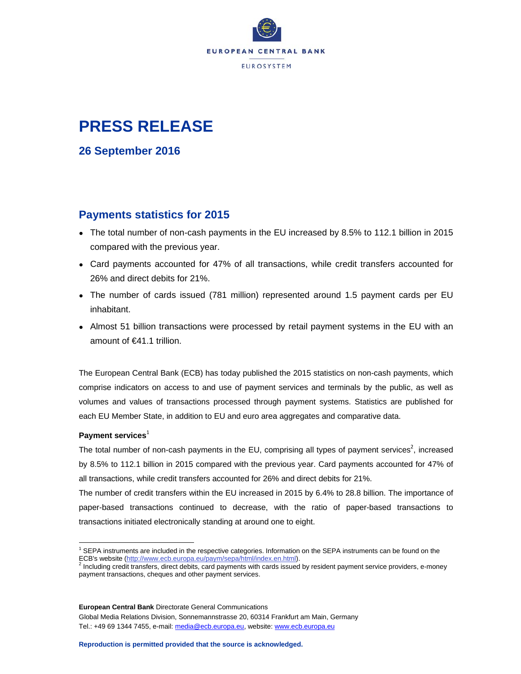

# **PRESS RELEASE**

**26 September 2016** 

# **Payments statistics for 2015**

- The total number of non-cash payments in the EU increased by 8.5% to 112.1 billion in 2015 compared with the previous year.
- Card payments accounted for 47% of all transactions, while credit transfers accounted for 26% and direct debits for 21%.
- The number of cards issued (781 million) represented around 1.5 payment cards per EU inhabitant.
- Almost 51 billion transactions were processed by retail payment systems in the EU with an amount of €41.1 trillion.

The European Central Bank (ECB) has today published the 2015 statistics on non-cash payments, which comprise indicators on access to and use of payment services and terminals by the public, as well as volumes and values of transactions processed through payment systems. Statistics are published for each EU Member State, in addition to EU and euro area aggregates and comparative data.

# Payment services<sup>1</sup>

The total number of non-cash payments in the EU, comprising all types of payment services<sup>2</sup>, increased by 8.5% to 112.1 billion in 2015 compared with the previous year. Card payments accounted for 47% of all transactions, while credit transfers accounted for 26% and direct debits for 21%.

The number of credit transfers within the EU increased in 2015 by 6.4% to 28.8 billion. The importance of paper-based transactions continued to decrease, with the ratio of paper-based transactions to transactions initiated electronically standing at around one to eight.

**European Central Bank** Directorate General Communications Global Media Relations Division, Sonnemannstrasse 20, 60314 Frankfurt am Main, Germany Tel.: +49 69 1344 7455, e-mail: media@ecb.europa.eu, website: www.ecb.europa.eu

 <sup>1</sup> SEPA instruments are included in the respective categories. Information on the SEPA instruments can be found on the ECB's website (<u>http://www.ecb.europa.eu/paym/sepa/html/index.en.html</u>).<br><sup>2</sup> Including credit transfers, direct debits, card payments with cards issued by resident payment service providers, e-money

payment transactions, cheques and other payment services.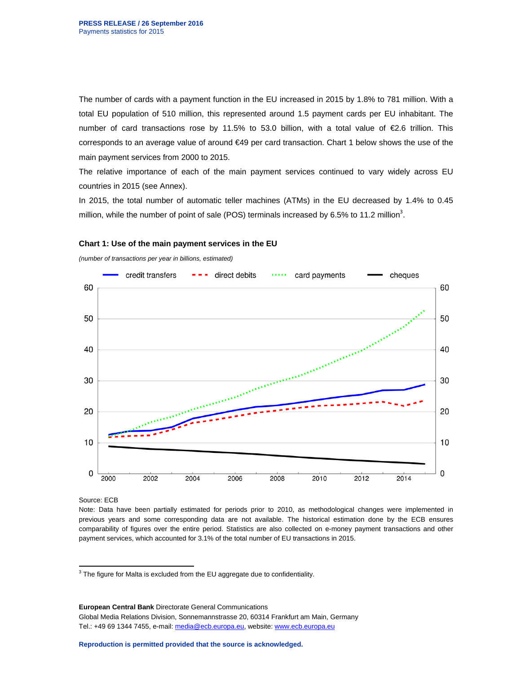The number of cards with a payment function in the EU increased in 2015 by 1.8% to 781 million. With a total EU population of 510 million, this represented around 1.5 payment cards per EU inhabitant. The number of card transactions rose by 11.5% to 53.0 billion, with a total value of  $\epsilon$ 2.6 trillion. This corresponds to an average value of around €49 per card transaction. Chart 1 below shows the use of the main payment services from 2000 to 2015.

The relative importance of each of the main payment services continued to vary widely across EU countries in 2015 (see Annex).

In 2015, the total number of automatic teller machines (ATMs) in the EU decreased by 1.4% to 0.45 million, while the number of point of sale (POS) terminals increased by 6.5% to 11.2 million<sup>3</sup>.



# **Chart 1: Use of the main payment services in the EU**

Source: ECB

Note: Data have been partially estimated for periods prior to 2010, as methodological changes were implemented in previous years and some corresponding data are not available. The historical estimation done by the ECB ensures comparability of figures over the entire period. Statistics are also collected on e-money payment transactions and other payment services, which accounted for 3.1% of the total number of EU transactions in 2015.

**European Central Bank** Directorate General Communications Global Media Relations Division, Sonnemannstrasse 20, 60314 Frankfurt am Main, Germany Tel.: +49 69 1344 7455, e-mail: media@ecb.europa.eu, website: www.ecb.europa.eu

 $3$  The figure for Malta is excluded from the EU aggregate due to confidentiality.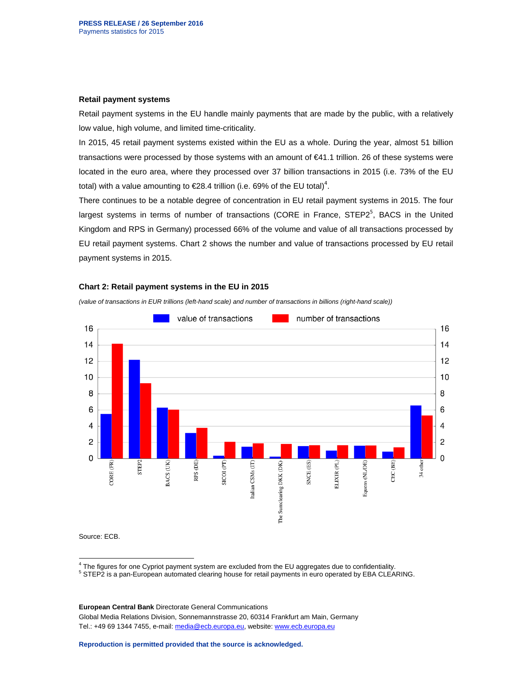#### **Retail payment systems**

Retail payment systems in the EU handle mainly payments that are made by the public, with a relatively low value, high volume, and limited time-criticality.

In 2015, 45 retail payment systems existed within the EU as a whole. During the year, almost 51 billion transactions were processed by those systems with an amount of €41.1 trillion. 26 of these systems were located in the euro area, where they processed over 37 billion transactions in 2015 (i.e. 73% of the EU total) with a value amounting to  $E$ 28.4 trillion (i.e. 69% of the EU total)<sup>4</sup>.

There continues to be a notable degree of concentration in EU retail payment systems in 2015. The four largest systems in terms of number of transactions (CORE in France, STEP2<sup>5</sup>, BACS in the United Kingdom and RPS in Germany) processed 66% of the volume and value of all transactions processed by EU retail payment systems. Chart 2 shows the number and value of transactions processed by EU retail payment systems in 2015.

#### **Chart 2: Retail payment systems in the EU in 2015**

*(value of transactions in EUR trillions (left-hand scale) and number of transactions in billions (right-hand scale))* 



Source: ECB.

4 The figures for one Cypriot payment system are excluded from the EU aggregates due to confidentiality.

<sup>5</sup> STEP2 is a pan-European automated clearing house for retail payments in euro operated by EBA CLEARING.

**European Central Bank** Directorate General Communications Global Media Relations Division, Sonnemannstrasse 20, 60314 Frankfurt am Main, Germany Tel.: +49 69 1344 7455, e-mail: media@ecb.europa.eu, website: www.ecb.europa.eu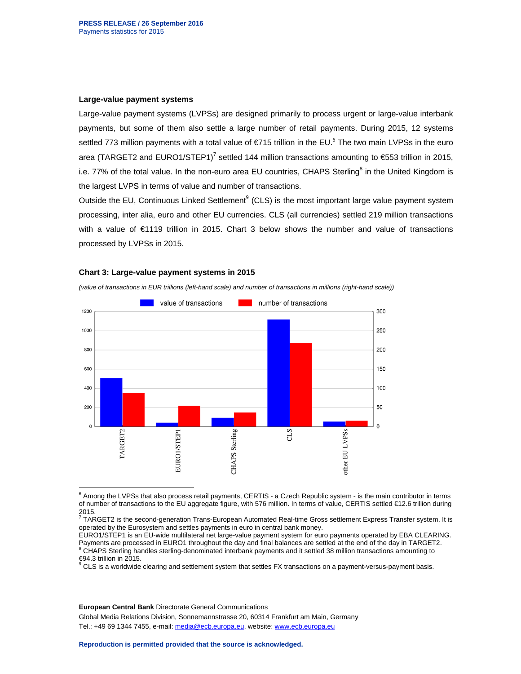#### **Large-value payment systems**

Large-value payment systems (LVPSs) are designed primarily to process urgent or large-value interbank payments, but some of them also settle a large number of retail payments. During 2015, 12 systems settled 773 million payments with a total value of €715 trillion in the EU.<sup>6</sup> The two main LVPSs in the euro area (TARGET2 and EURO1/STEP1)<sup>7</sup> settled 144 million transactions amounting to  $\text{\textsterling}553$  trillion in 2015, i.e. 77% of the total value. In the non-euro area EU countries, CHAPS Sterling<sup>8</sup> in the United Kingdom is the largest LVPS in terms of value and number of transactions.

Outside the EU, Continuous Linked Settlement<sup>9</sup> (CLS) is the most important large value payment system processing, inter alia, euro and other EU currencies. CLS (all currencies) settled 219 million transactions with a value of €1119 trillion in 2015. Chart 3 below shows the number and value of transactions processed by LVPSs in 2015.

#### **Chart 3: Large-value payment systems in 2015**

*(value of transactions in EUR trillions (left-hand scale) and number of transactions in millions (right-hand scale))* 



 6 Among the LVPSs that also process retail payments, CERTIS - a Czech Republic system - is the main contributor in terms of number of transactions to the EU aggregate figure, with 576 million. In terms of value, CERTIS settled €12.6 trillion during 2015.

 $^7$  TARGET2 is the second-generation Trans-European Automated Real-time Gross settlement Express Transfer system. It is operated by the Eurosystem and settles payments in euro in central bank money.

EURO1/STEP1 is an EU-wide multilateral net large-value payment system for euro payments operated by EBA CLEARING. Payments are processed in EURO1 throughout the day and final balances are settled at the end of the day in TARGET2. <sup>8</sup> CHAPS Sterling handles sterling-denominated interbank payments and it settled 38 million transactions amounting to

**European Central Bank** Directorate General Communications

Global Media Relations Division, Sonnemannstrasse 20, 60314 Frankfurt am Main, Germany

Tel.: +49 69 1344 7455, e-mail: media@ecb.europa.eu, website: www.ecb.europa.eu

<sup>€94.3</sup> trillion in 2015. <sup>9</sup> CLS is a worldwide clearing and settlement system that settles FX transactions on a payment-versus-payment basis.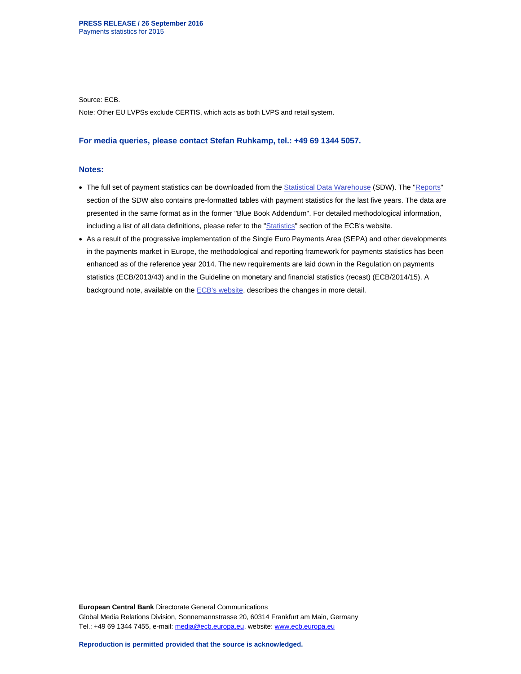Source: ECB.

Note: Other EU LVPSs exclude CERTIS, which acts as both LVPS and retail system.

#### **For media queries, please contact Stefan Ruhkamp, tel.: +49 69 1344 5057.**

### **Notes:**

- The full set of payment statistics can be downloaded from the Statistical Data Warehouse (SDW). The "Reports" section of the SDW also contains pre-formatted tables with payment statistics for the last five years. The data are presented in the same format as in the former "Blue Book Addendum". For detailed methodological information, including a list of all data definitions, please refer to the "Statistics" section of the ECB's website.
- As a result of the progressive implementation of the Single Euro Payments Area (SEPA) and other developments in the payments market in Europe, the methodological and reporting framework for payments statistics has been enhanced as of the reference year 2014. The new requirements are laid down in the Regulation on payments statistics (ECB/2013/43) and in the Guideline on monetary and financial statistics (recast) (ECB/2014/15). A background note, available on the **ECB's website**, describes the changes in more detail.